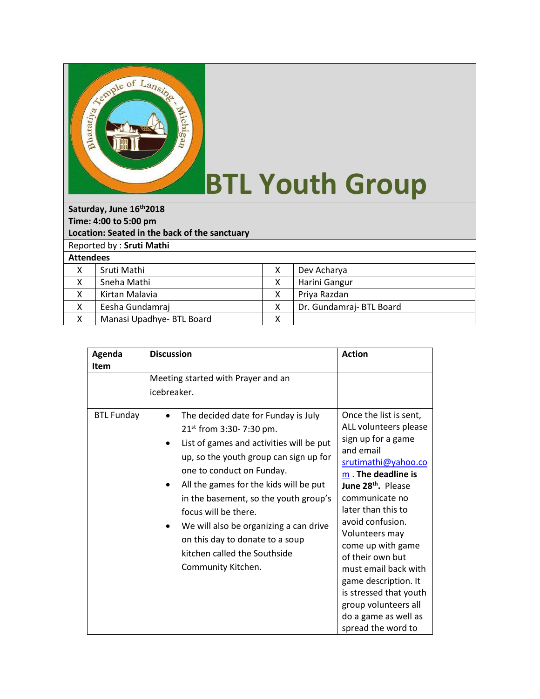

## **BTL Youth Group**

**Saturday, June 16th2018 Time: 4:00 to 5:00 pm Location: Seated in the back of the sanctuary** Reported by : **Sruti Mathi Attendees** X Sruti Mathi X Dev Acharya X Sneha Mathi X | Harini Gangur X | Kirtan Malavia X | X | Priya Razdan X Eesha Gundamraj X X Dr. Gundamraj- BTL Board X | Manasi Upadhye- BTL Board | X

| Agenda<br><b>Item</b> | <b>Discussion</b>                                                                                                                                                                                                                                                                                                                                                                             | <b>Action</b>                                                                                                                                                                                                                                                                                                                                                                                                 |
|-----------------------|-----------------------------------------------------------------------------------------------------------------------------------------------------------------------------------------------------------------------------------------------------------------------------------------------------------------------------------------------------------------------------------------------|---------------------------------------------------------------------------------------------------------------------------------------------------------------------------------------------------------------------------------------------------------------------------------------------------------------------------------------------------------------------------------------------------------------|
| <b>BTL Funday</b>     | Meeting started with Prayer and an<br>icebreaker.<br>The decided date for Funday is July                                                                                                                                                                                                                                                                                                      | Once the list is sent,                                                                                                                                                                                                                                                                                                                                                                                        |
|                       | $21^{st}$ from 3:30-7:30 pm.<br>List of games and activities will be put<br>up, so the youth group can sign up for<br>one to conduct on Funday.<br>All the games for the kids will be put<br>in the basement, so the youth group's<br>focus will be there.<br>We will also be organizing a can drive<br>on this day to donate to a soup<br>kitchen called the Southside<br>Community Kitchen. | ALL volunteers please<br>sign up for a game<br>and email<br>srutimathi@yahoo.co<br>m The deadline is<br>June 28 <sup>th</sup> , Please<br>communicate no<br>later than this to<br>avoid confusion.<br>Volunteers may<br>come up with game<br>of their own but<br>must email back with<br>game description. It<br>is stressed that youth<br>group volunteers all<br>do a game as well as<br>spread the word to |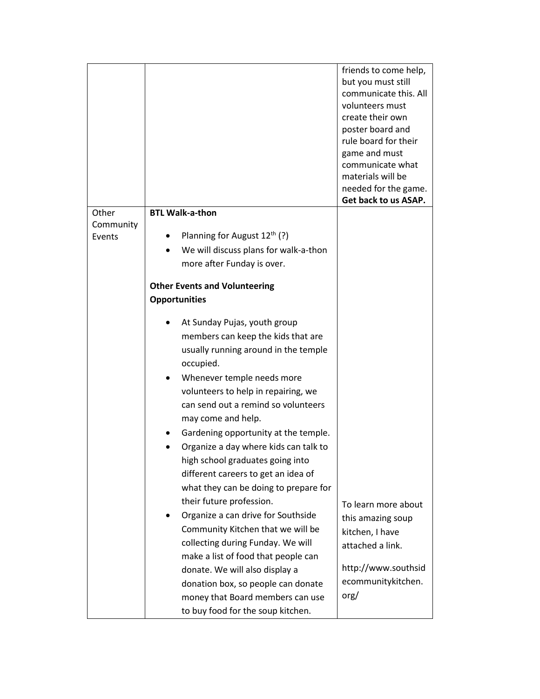|                     |                                          | friends to come help, |
|---------------------|------------------------------------------|-----------------------|
|                     |                                          | but you must still    |
|                     |                                          | communicate this. All |
|                     |                                          | volunteers must       |
|                     |                                          | create their own      |
|                     |                                          | poster board and      |
|                     |                                          | rule board for their  |
|                     |                                          | game and must         |
|                     |                                          | communicate what      |
|                     |                                          | materials will be     |
|                     |                                          | needed for the game.  |
|                     |                                          | Get back to us ASAP.  |
| Other               | <b>BTL Walk-a-thon</b>                   |                       |
| Community<br>Events | Planning for August $12^{\text{th}}$ (?) |                       |
|                     | We will discuss plans for walk-a-thon    |                       |
|                     |                                          |                       |
|                     | more after Funday is over.               |                       |
|                     | <b>Other Events and Volunteering</b>     |                       |
|                     | <b>Opportunities</b>                     |                       |
|                     |                                          |                       |
|                     | At Sunday Pujas, youth group             |                       |
|                     | members can keep the kids that are       |                       |
|                     | usually running around in the temple     |                       |
|                     | occupied.                                |                       |
|                     | Whenever temple needs more               |                       |
|                     | volunteers to help in repairing, we      |                       |
|                     | can send out a remind so volunteers      |                       |
|                     | may come and help.                       |                       |
|                     | Gardening opportunity at the temple.     |                       |
|                     |                                          |                       |
|                     | Organize a day where kids can talk to    |                       |
|                     | high school graduates going into         |                       |
|                     | different careers to get an idea of      |                       |
|                     | what they can be doing to prepare for    |                       |
|                     | their future profession.                 | To learn more about   |
|                     | Organize a can drive for Southside       | this amazing soup     |
|                     | Community Kitchen that we will be        | kitchen, I have       |
|                     | collecting during Funday. We will        | attached a link.      |
|                     | make a list of food that people can      |                       |
|                     | donate. We will also display a           | http://www.southsid   |
|                     | donation box, so people can donate       | ecommunitykitchen.    |
|                     | money that Board members can use         | $\text{org}/$         |
|                     |                                          |                       |
|                     | to buy food for the soup kitchen.        |                       |